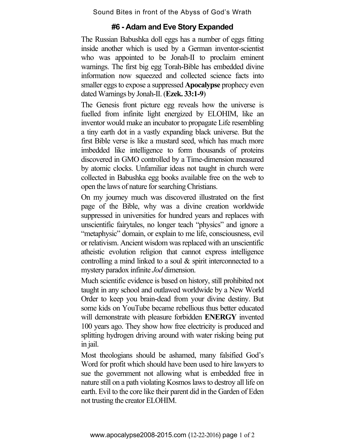Sound Bites in front of the Abyss of God's Wrath

## **#6 - Adam and Eve Story Expanded**

The Russian Babushka doll eggs has a number of eggs fitting inside another which is used by a German inventor-scientist who was appointed to be Jonah-II to proclaim eminent warnings. The first big egg Torah-Bible has embedded divine information now squeezed and collected science facts into smaller eggs to expose a suppressed **Apocalypse** prophecy even dated Warnings by Jonah-II. (**Ezek. 33:1-9**)

The Genesis front picture egg reveals how the universe is fuelled from infinite light energized by ELOHIM, like an inventor would make an incubator to propagate Life resembling a tiny earth dot in a vastly expanding black universe. But the first Bible verse is like a mustard seed, which has much more imbedded like intelligence to form thousands of proteins discovered in GMO controlled by a Time-dimension measured by atomic clocks. Unfamiliar ideas not taught in church were collected in Babushka egg books available free on the web to open the laws of nature forsearching Christians.

On my journey much was discovered illustrated on the first page of the Bible, why was a divine creation worldwide suppressed in universities for hundred years and replaces with unscientific fairytales, no longer teach "physics" and ignore a "metaphysic" domain, or explain to me life, consciousness, evil or relativism. Ancient wisdom was replaced with an unscientific atheistic evolution religion that cannot express intelligence controlling a mind linked to a soul & spirit interconnected to a mystery paradox infinite *Jod* dimension.

Much scientific evidence is based on history, still prohibited not taught in any school and outlawed worldwide by a New World Order to keep you brain-dead from your divine destiny. But some kids on YouTube became rebellious thus better educated will demonstrate with pleasure forbidden **ENERGY** invented 100 years ago. They show how free electricity is produced and splitting hydrogen driving around with water risking being put in jail.

Most theologians should be ashamed, many falsified God's Word for profit which should have been used to hire lawyers to sue the government not allowing what is embedded free in nature still on a path violating Kosmos laws to destroy all life on earth. Evil to the core like their parent did in the Garden of Eden not trusting the creator ELOHIM.